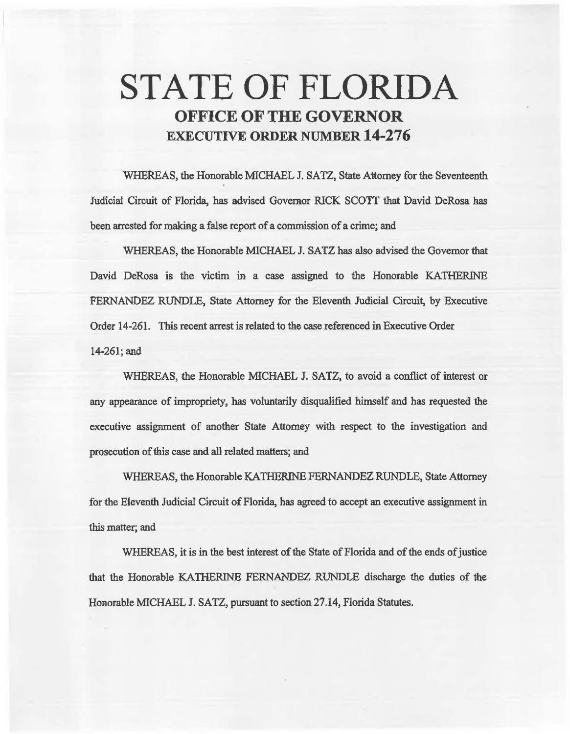# **STATE OF FLORIDA OFFICE OF THE GOVERNOR EXECUTIVE ORDER NUMBER 14-276**

WHEREAS, the Honorable MICHAEL J. SATZ, State Attorney for the Seventeenth Judicial Circuit of Florida, has advised Governor RICK SCOTT that David DeRosa has been arrested for making a false report of a commission of a crime; and

WHEREAS, the Honorable MICHAEL J. SATZ has also advised the Governor that David DeRosa is the victim in a case assigned to the Honorable KATHERINE FERNANDEZ RUNDLE, State Attorney for the Eleventh Judicial Circuit, by Executive Order 14-261. This recent arrest is related to the case referenced in Executive Order 14-261; and

WHEREAS, the Honorable MICHAEL J. SATZ, to avoid a conflict of interest or any appearance of impropriety, has voluntarily disqualified himself and has requested the executive assignment of another State Attorney with respect to the investigation and prosecution of this case and all related matters; and

WHEREAS, the Honorable KATHERINE FERNANDEZ RUNDLE, State Attorney for the Eleventh Judicial Circuit of Florida, has agreed to accept an executive assignment in this matter; and

WHEREAS, it is in the best interest of the State of Florida and of the ends of justice that the Honorable KATHERINE FERNANDEZ RUNDLE discharge the duties of the Honorable MICHAEL J. SATZ, pursuant to section 27.14, Florida Statutes.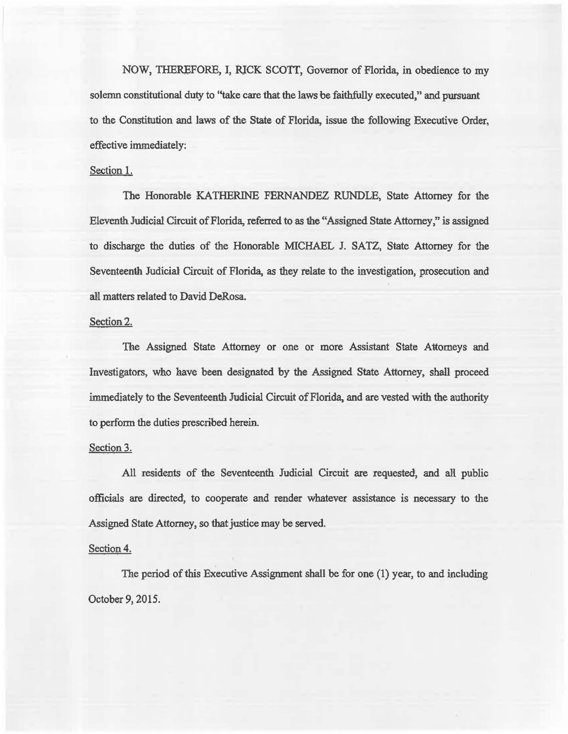NOW, THEREFORE, I, RICK SCOTT, Governor of Florida, in obedience to my solemn constitutional duty to "take care that the laws be faithfully executed," and pursuant to the Constitution and laws of the State of Florida, issue the following Executive Order, effective immediately:

## Section 1.

The Honorable KATHERINE FERNANDEZ RUNDLE, State Attorney for the Eleventh Judicial Circuit of Florida, referred to as 1he "Assigned State Attorney," is assigned to discharge the duties of the Honorable MICHAEL J. SATZ, State Attorney for the Seventeenth Judicial Circuit of Florida, as they relate to the investigation, prosecution and all matters related to David DeRosa.

## Section 2.

The Assigned State Attorney or one or more Assistant State Attorneys and Investigators, who have been designated by the Assigned State Attorney, shall proceed immediately to the Seventeenth Judicial Circuit of Florida, and are vested with the authority to perfonn the duties prescribed herein.

### Section 3.

All residents of the Seventeenth Judicial Circuit are requested, and all public officials are directed, to cooperate and render whatever assistance is necessary to the Assigned State Attorney, so that justice may be served.

### Section 4.

The period of this Executive Assignment shall be for one (1) year, to and including October 9, 2015.